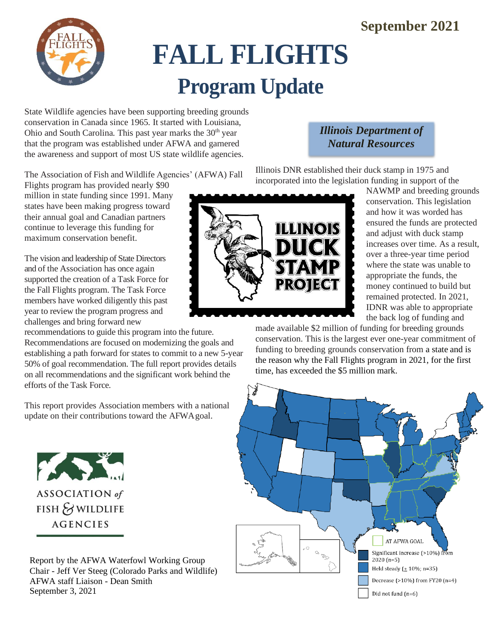### **September 2021**



# **FALL FLIGHTS Program Update**

State Wildlife agencies have been supporting breeding grounds conservation in Canada since 1965. It started with Louisiana, Ohio and South Carolina. This past year marks the  $30<sup>th</sup>$  year that the program was established under AFWA and garnered the awareness and support of most US state wildlife agencies.

The Association of Fish and Wildlife Agencies' (AFWA) Fall

Flights program has provided nearly \$90 million in state funding since 1991. Many states have been making progress toward their annual goal and Canadian partners continue to leverage this funding for maximum conservation benefit.

The vision and leadership of State Directors and of the Association has once again supported the creation of a Task Force for the Fall Flights program. The Task Force members have worked diligently this past year to review the program progress and challenges and bring forward new

recommendations to guide this program into the future. Recommendations are focused on modernizing the goals and establishing a path forward for states to commit to a new 5-year 50% of goal recommendation. The full report provides details on all recommendations and the significant work behind the efforts of the Task Force.

This report provides Association members with a national update on their contributions toward the AFWAgoal.



FISH & WILDLIFE **AGENCIES** 

Report by the AFWA Waterfowl Working Group Chair - Jeff Ver Steeg (Colorado Parks and Wildlife) AFWA staff Liaison - Dean Smith September 3, 2021

#### *Illinois Department of Natural Resources*

Illinois DNR established their duck stamp in 1975 and incorporated into the legislation funding in support of the



NAWMP and breeding grounds conservation. This legislation and how it was worded has ensured the funds are protected and adjust with duck stamp increases over time. As a result, over a three-year time period where the state was unable to appropriate the funds, the money continued to build but remained protected. In 2021, IDNR was able to appropriate the back log of funding and

made available \$2 million of funding for breeding grounds conservation. This is the largest ever one-year commitment of funding to breeding grounds conservation from a state and is the reason why the Fall Flights program in 2021, for the first time, has exceeded the \$5 million mark.